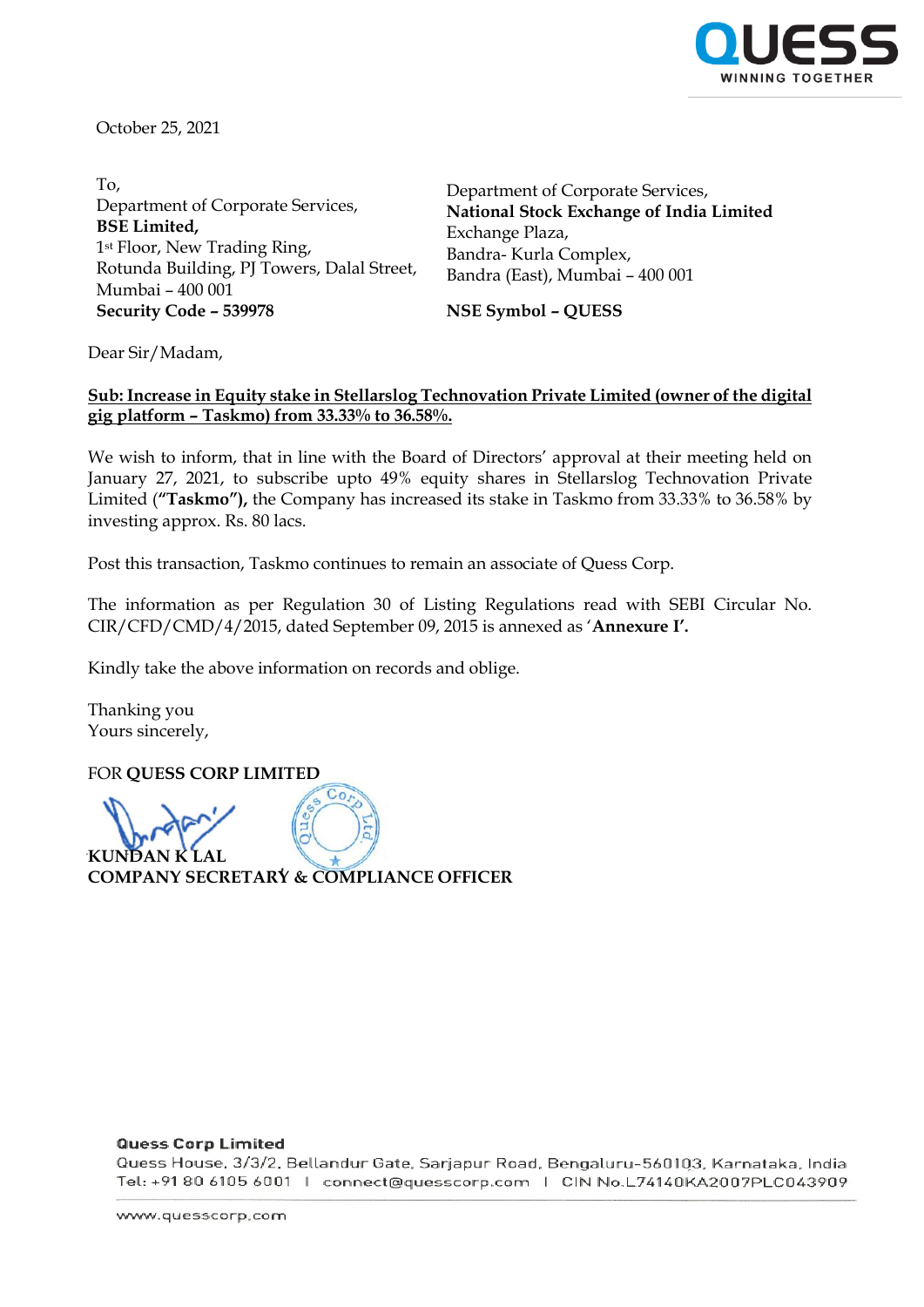

October 25, 2021

To, Department of Corporate Services, **BSE Limited,** 1st Floor, New Trading Ring, Rotunda Building, PJ Towers, Dalal Street, Mumbai – 400 001 **Security Code – 539978 NSE Symbol – QUESS**

Department of Corporate Services, **National Stock Exchange of India Limited** Exchange Plaza, Bandra- Kurla Complex, Bandra (East), Mumbai – 400 001

Dear Sir/Madam,

## **Sub: Increase in Equity stake in Stellarslog Technovation Private Limited (owner of the digital gig platform – Taskmo) from 33.33% to 36.58%.**

We wish to inform, that in line with the Board of Directors' approval at their meeting held on January 27, 2021, to subscribe upto 49% equity shares in Stellarslog Technovation Private Limited (**"Taskmo"),** the Company has increased its stake in Taskmo from 33.33% to 36.58% by investing approx. Rs. 80 lacs.

Post this transaction, Taskmo continues to remain an associate of Quess Corp.

The information as per Regulation 30 of Listing Regulations read with SEBI Circular No. CIR/CFD/CMD/4/2015, dated September 09, 2015 is annexed as '**Annexure I'.**

Kindly take the above information on records and oblige.

Thanking you Yours sincerely,

FOR **QUESS CORP LIMITED**   $\overline{\mathrm{Co}}$ **KUNDAN K LAL COMPANY SECRETARY & COMPLIANCE OFFICER** 

### **Quess Corp Limited**

Quess House, 3/3/2, Bellandur Gate, Sarjapur Road, Bengaluru-560103, Karnataka, India Tel: +91 80 6105 6001 | connect@quesscorp.com | CIN No.L74140KA2007PLC043909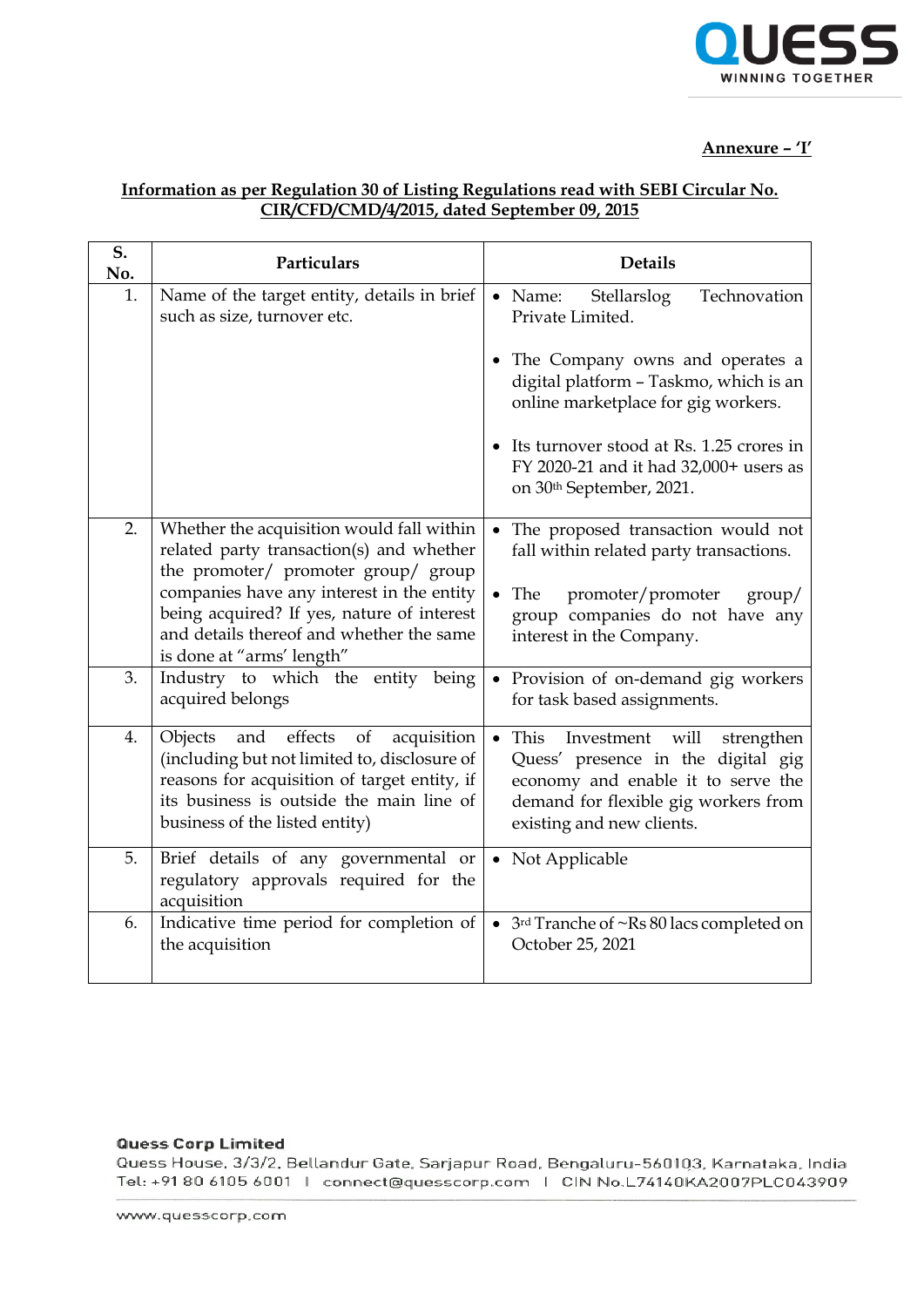

## **Annexure – 'I'**

# **Information as per Regulation 30 of Listing Regulations read with SEBI Circular No. CIR/CFD/CMD/4/2015, dated September 09, 2015**

| S.<br>No. | Particulars                                                                                                                                                                                                                  | <b>Details</b>                                                                                                                                                                                   |
|-----------|------------------------------------------------------------------------------------------------------------------------------------------------------------------------------------------------------------------------------|--------------------------------------------------------------------------------------------------------------------------------------------------------------------------------------------------|
| 1.        | Name of the target entity, details in brief<br>such as size, turnover etc.                                                                                                                                                   | $\bullet$ Name:<br>Stellarslog<br>Technovation<br>Private Limited.                                                                                                                               |
|           |                                                                                                                                                                                                                              | • The Company owns and operates a<br>digital platform - Taskmo, which is an<br>online marketplace for gig workers.                                                                               |
|           |                                                                                                                                                                                                                              | • Its turnover stood at Rs. 1.25 crores in<br>FY 2020-21 and it had 32,000+ users as<br>on 30 <sup>th</sup> September, 2021.                                                                     |
| 2.        | Whether the acquisition would fall within<br>related party transaction(s) and whether<br>the promoter/ promoter group/ group                                                                                                 | The proposed transaction would not<br>fall within related party transactions.                                                                                                                    |
|           | companies have any interest in the entity<br>being acquired? If yes, nature of interest<br>and details thereof and whether the same<br>is done at "arms' length"                                                             | • The promoter/promoter<br>$\gamma$<br>group companies do not have any<br>interest in the Company.                                                                                               |
| 3.        | Industry to which the entity being<br>acquired belongs                                                                                                                                                                       | • Provision of on-demand gig workers<br>for task based assignments.                                                                                                                              |
| 4.        | effects<br>and<br>of<br>Objects<br>acquisition<br>(including but not limited to, disclosure of<br>reasons for acquisition of target entity, if<br>its business is outside the main line of<br>business of the listed entity) | $\bullet$ This<br>Investment will<br>strengthen<br>Quess' presence in the digital gig<br>economy and enable it to serve the<br>demand for flexible gig workers from<br>existing and new clients. |
| 5.        | Brief details of any governmental or<br>regulatory approvals required for the<br>acquisition                                                                                                                                 | • Not Applicable                                                                                                                                                                                 |
| 6.        | Indicative time period for completion of<br>the acquisition                                                                                                                                                                  | • 3rd Tranche of ~Rs 80 lacs completed on<br>October 25, 2021                                                                                                                                    |

### **Quess Corp Limited**

Quess House, 3/3/2, Bellandur Gate, Sarjapur Road, Bengaluru-560103, Karnataka, India Tel: +91 80 6105 6001 | connect@quesscorp.com | CIN No.L74140KA2007PLC043909